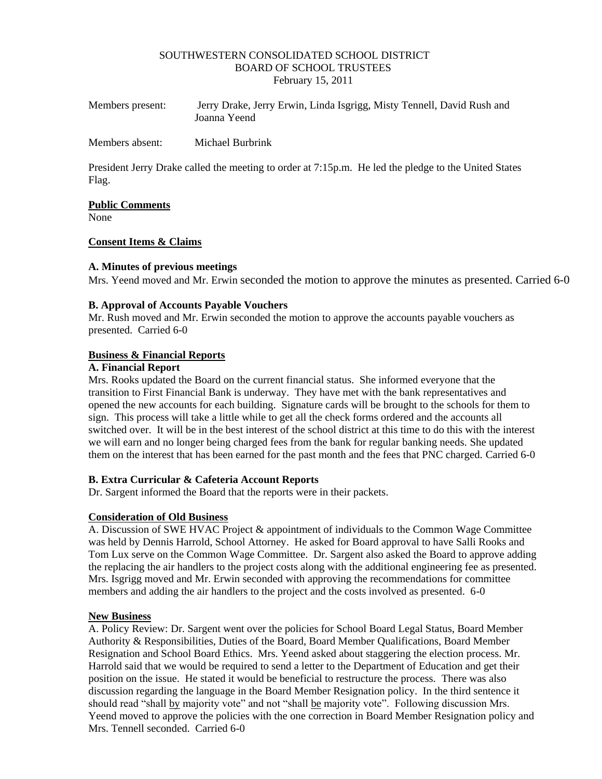#### SOUTHWESTERN CONSOLIDATED SCHOOL DISTRICT BOARD OF SCHOOL TRUSTEES February 15, 2011

| Members present: | Jerry Drake, Jerry Erwin, Linda Isgrigg, Misty Tennell, David Rush and<br>Joanna Yeend |
|------------------|----------------------------------------------------------------------------------------|
| Members absent:  | Michael Burbrink                                                                       |

President Jerry Drake called the meeting to order at 7:15p.m. He led the pledge to the United States Flag.

## **Public Comments**

None

#### **Consent Items & Claims**

#### **A. Minutes of previous meetings**

Mrs. Yeend moved and Mr. Erwin seconded the motion to approve the minutes as presented. Carried 6-0

#### **B. Approval of Accounts Payable Vouchers**

Mr. Rush moved and Mr. Erwin seconded the motion to approve the accounts payable vouchers as presented. Carried 6-0

#### **Business & Financial Reports**

## **A. Financial Report**

Mrs. Rooks updated the Board on the current financial status. She informed everyone that the transition to First Financial Bank is underway. They have met with the bank representatives and opened the new accounts for each building. Signature cards will be brought to the schools for them to sign. This process will take a little while to get all the check forms ordered and the accounts all switched over. It will be in the best interest of the school district at this time to do this with the interest we will earn and no longer being charged fees from the bank for regular banking needs. She updated them on the interest that has been earned for the past month and the fees that PNC charged. Carried 6-0

## **B. Extra Curricular & Cafeteria Account Reports**

Dr. Sargent informed the Board that the reports were in their packets.

## **Consideration of Old Business**

A. Discussion of SWE HVAC Project & appointment of individuals to the Common Wage Committee was held by Dennis Harrold, School Attorney. He asked for Board approval to have Salli Rooks and Tom Lux serve on the Common Wage Committee. Dr. Sargent also asked the Board to approve adding the replacing the air handlers to the project costs along with the additional engineering fee as presented. Mrs. Isgrigg moved and Mr. Erwin seconded with approving the recommendations for committee members and adding the air handlers to the project and the costs involved as presented. 6-0

## **New Business**

A. Policy Review: Dr. Sargent went over the policies for School Board Legal Status, Board Member Authority & Responsibilities, Duties of the Board, Board Member Qualifications, Board Member Resignation and School Board Ethics. Mrs. Yeend asked about staggering the election process. Mr. Harrold said that we would be required to send a letter to the Department of Education and get their position on the issue. He stated it would be beneficial to restructure the process. There was also discussion regarding the language in the Board Member Resignation policy. In the third sentence it should read "shall by majority vote" and not "shall be majority vote". Following discussion Mrs. Yeend moved to approve the policies with the one correction in Board Member Resignation policy and Mrs. Tennell seconded. Carried 6-0